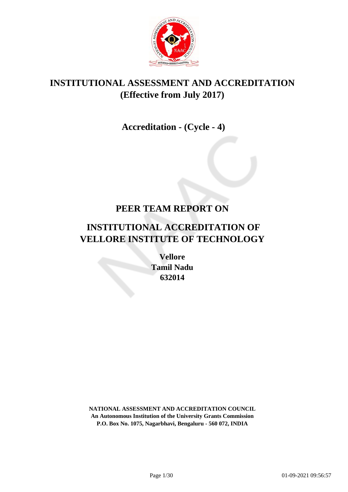

## **INSTITUTIONAL ASSESSMENT AND ACCREDITATION (Effective from July 2017)**

# **Accreditation - (Cycle - 4)**

### **PEER TEAM REPORT ON**

# **INSTITUTIONAL ACCREDITATION OF VELLORE INSTITUTE OF TECHNOLOGY**

**Vellore Tamil Nadu 632014**

**NATIONAL ASSESSMENT AND ACCREDITATION COUNCIL An Autonomous Institution of the University Grants Commission P.O. Box No. 1075, Nagarbhavi, Bengaluru - 560 072, INDIA**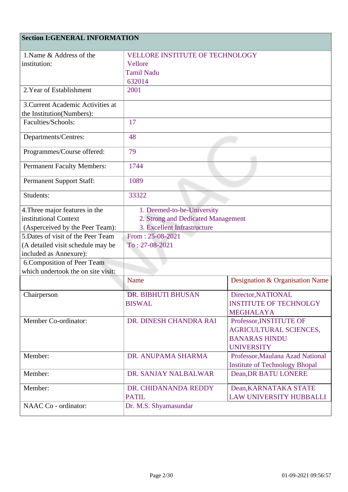### **Section I:GENERAL INFORMATION**

| 1. Name & Address of the           | <b>VELLORE INSTITUTE OF TECHNOLOGY</b> |                                       |  |
|------------------------------------|----------------------------------------|---------------------------------------|--|
| institution:                       | Vellore                                |                                       |  |
|                                    | <b>Tamil Nadu</b>                      |                                       |  |
|                                    | 632014                                 |                                       |  |
| 2. Year of Establishment           | 2001                                   |                                       |  |
| 3. Current Academic Activities at  |                                        |                                       |  |
| the Institution(Numbers):          |                                        |                                       |  |
| Faculties/Schools:                 | 17                                     |                                       |  |
| Departments/Centres:               | 48                                     |                                       |  |
| Programmes/Course offered:         | 79                                     |                                       |  |
| <b>Permanent Faculty Members:</b>  | 1744                                   |                                       |  |
| <b>Permanent Support Staff:</b>    | 1089                                   |                                       |  |
| Students:                          | 33322                                  |                                       |  |
| 4. Three major features in the     | 1. Deemed-to-be-University             |                                       |  |
| institutional Context              | 2. Strong and Dedicated Management     |                                       |  |
| (Asperceived by the Peer Team):    | 3. Excellent Infrastructure            |                                       |  |
| 5. Dates of visit of the Peer Team | From: $25-08-2021$                     |                                       |  |
| (A detailed visit schedule may be  | $To: 27-08-2021$                       |                                       |  |
| included as Annexure):             |                                        |                                       |  |
| 6. Composition of Peer Team        |                                        |                                       |  |
| which undertook the on site visit: |                                        |                                       |  |
|                                    | Name                                   | Designation & Organisation Name       |  |
| Chairperson                        | <b>DR. BIBHUTI BHUSAN</b>              | Director, NATIONAL                    |  |
|                                    | <b>BISWAL</b>                          | <b>INSTITUTE OF TECHNOLGY</b>         |  |
|                                    |                                        | <b>MEGHALAYA</b>                      |  |
| Member Co-ordinator:               | DR. DINESH CHANDRA RAI                 | Professor, INSTITUTE OF               |  |
|                                    |                                        | <b>AGRICULTURAL SCIENCES,</b>         |  |
|                                    |                                        | <b>BANARAS HINDU</b>                  |  |
|                                    |                                        | <b>UNIVERSITY</b>                     |  |
| Member:                            | DR. ANUPAMA SHARMA                     | Professor, Maulana Azad National      |  |
|                                    |                                        | <b>Institute of Technology Bhopal</b> |  |
| Member:                            | DR. SANJAY NALBALWAR                   | <b>Dean, DR BATU LONERE</b>           |  |
| Member:                            | DR. CHIDANANDA REDDY                   | Dean, KARNATAKA STATE                 |  |
|                                    | <b>PATIL</b>                           | <b>LAW UNIVERSITY HUBBALLI</b>        |  |
| NAAC Co - ordinator:               | Dr. M.S. Shyamasundar                  |                                       |  |
|                                    |                                        |                                       |  |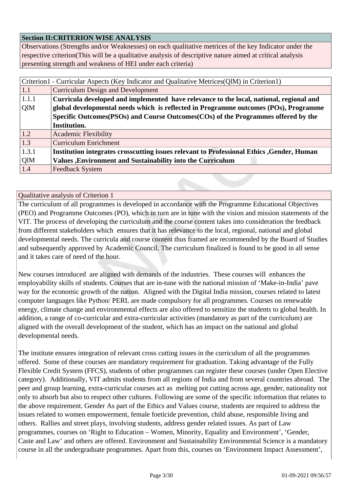#### **Section II:CRITERION WISE ANALYSIS**

Observations (Strengths and/or Weaknesses) on each qualitative metrices of the key Indicator under the respective criterion(This will be a qualitative analysis of descriptive nature aimed at critical analysis presenting strength and weakness of HEI under each criteria)

| Criterion1 - Curricular Aspects (Key Indicator and Qualitative Metrices(QlM) in Criterion1) |                                                                                            |  |
|---------------------------------------------------------------------------------------------|--------------------------------------------------------------------------------------------|--|
| 1.1                                                                                         | <b>Curriculum Design and Development</b>                                                   |  |
| 1.1.1                                                                                       | Curricula developed and implemented have relevance to the local, national, regional and    |  |
| QlM                                                                                         | global developmental needs which is reflected in Programme outcomes (POs), Programme       |  |
|                                                                                             | Specific Outcomes (PSOs) and Course Outcomes (COs) of the Programmes offered by the        |  |
|                                                                                             | Institution.                                                                               |  |
| 1.2                                                                                         | <b>Academic Flexibility</b>                                                                |  |
| 1.3                                                                                         | <b>Curriculum Enrichment</b>                                                               |  |
| 1.3.1                                                                                       | Institution integrates crosscutting issues relevant to Professional Ethics , Gender, Human |  |
| QlM                                                                                         | <b>Values</b> , Environment and Sustainability into the Curriculum                         |  |
| 1.4                                                                                         | <b>Feedback System</b>                                                                     |  |

Qualitative analysis of Criterion 1

The curriculum of all programmes is developed in accordance with the Programme Educational Objectives (PEO) and Programme Outcomes (PO), which in turn are in tune with the vision and mission statements of the VIT. The process of developing the curriculum and the course content takes into consideration the feedback from different stakeholders which ensures that it has relevance to the local, regional, national and global developmental needs. The curricula and course content thus framed are recommended by the Board of Studies and subsequently approved by Academic Council. The curriculum finalized is found to be good in all sense and it takes care of need of the hour.

New courses introduced are aligned with demands of the industries. These courses will enhances the employability skills of students. Courses that are in-tune with the national mission of 'Make-in-India' pave way for the economic growth of the nation. Aligned with the Digital India mission, courses related to latest computer languages like Python/ PERL are made compulsory for all programmes. Courses on renewable energy, climate change and environmental effects are also offered to sensitize the students to global health. In addition, a range of co-curricular and extra-curricular activities (mandatory as part of the curriculum) are aligned with the overall development of the student, which has an impact on the national and global developmental needs.

The institute ensures integration of relevant cross cutting issues in the curriculum of all the programmes offered. Some of these courses are mandatory requirement for graduation. Taking advantage of the Fully Flexible Credit System (FFCS), students of other programmes can register these courses (under Open Elective category). Additionally, VIT admits students from all regions of India and from several countries abroad. The peer and group learning, extra-curricular courses act as melting pot cutting across age, gender, nationality not only to absorb but also to respect other cultures. Following are some of the specific information that relates to the above requirement. Gender As part of the Ethics and Values course, students are required to address the issues related to women empowerment, female foeticide prevention, child abuse, responsible living and others. Rallies and street plays, involving students, address gender related issues. As part of Law programmes, courses on 'Right to Education – Women, Minority, Equality and Environment', 'Gender, Caste and Law' and others are offered. Environment and Sustainability Environmental Science is a mandatory course in all the undergraduate programmes. Apart from this, courses on 'Environment Impact Assessment',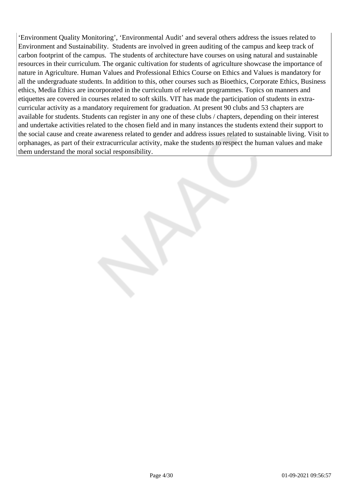'Environment Quality Monitoring', 'Environmental Audit' and several others address the issues related to Environment and Sustainability. Students are involved in green auditing of the campus and keep track of carbon footprint of the campus. The students of architecture have courses on using natural and sustainable resources in their curriculum. The organic cultivation for students of agriculture showcase the importance of nature in Agriculture. Human Values and Professional Ethics Course on Ethics and Values is mandatory for all the undergraduate students. In addition to this, other courses such as Bioethics, Corporate Ethics, Business ethics, Media Ethics are incorporated in the curriculum of relevant programmes. Topics on manners and etiquettes are covered in courses related to soft skills. VIT has made the participation of students in extracurricular activity as a mandatory requirement for graduation. At present 90 clubs and 53 chapters are available for students. Students can register in any one of these clubs / chapters, depending on their interest and undertake activities related to the chosen field and in many instances the students extend their support to the social cause and create awareness related to gender and address issues related to sustainable living. Visit to orphanages, as part of their extracurricular activity, make the students to respect the human values and make them understand the moral social responsibility.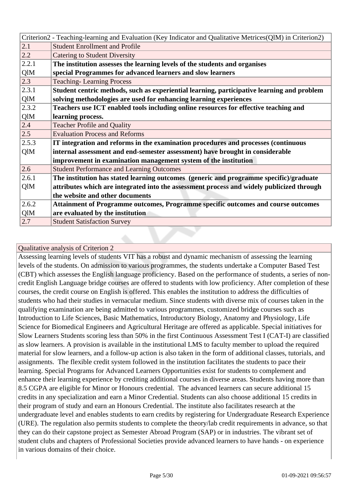|       | Criterion2 - Teaching-learning and Evaluation (Key Indicator and Qualitative Metrices(QlM) in Criterion2) |  |
|-------|-----------------------------------------------------------------------------------------------------------|--|
| 2.1   | <b>Student Enrollment and Profile</b>                                                                     |  |
| 2.2   | <b>Catering to Student Diversity</b>                                                                      |  |
| 2.2.1 | The institution assesses the learning levels of the students and organises                                |  |
| QlM   | special Programmes for advanced learners and slow learners                                                |  |
| 2.3   | <b>Teaching-Learning Process</b>                                                                          |  |
| 2.3.1 | Student centric methods, such as experiential learning, participative learning and problem                |  |
| QlM   | solving methodologies are used for enhancing learning experiences                                         |  |
| 2.3.2 | Teachers use ICT enabled tools including online resources for effective teaching and                      |  |
| QlM   | learning process.                                                                                         |  |
| 2.4   | <b>Teacher Profile and Quality</b>                                                                        |  |
| 2.5   | <b>Evaluation Process and Reforms</b>                                                                     |  |
| 2.5.3 | IT integration and reforms in the examination procedures and processes (continuous                        |  |
| QlM   | internal assessment and end-semester assessment) have brought in considerable                             |  |
|       | improvement in examination management system of the institution                                           |  |
| 2.6   | <b>Student Performance and Learning Outcomes</b>                                                          |  |
| 2.6.1 | The institution has stated learning outcomes (generic and programme specific)/graduate                    |  |
| QlM   | attributes which are integrated into the assessment process and widely publicized through                 |  |
|       | the website and other documents                                                                           |  |
| 2.6.2 | Attainment of Programme outcomes, Programme specific outcomes and course outcomes                         |  |
| QlM   | are evaluated by the institution                                                                          |  |
| 2.7   | <b>Student Satisfaction Survey</b>                                                                        |  |
|       |                                                                                                           |  |

Assessing learning levels of students VIT has a robust and dynamic mechanism of assessing the learning levels of the students. On admission to various programmes, the students undertake a Computer Based Test (CBT) which assesses the English language proficiency. Based on the performance of students, a series of noncredit English Language bridge courses are offered to students with low proficiency. After completion of these courses, the credit course on English is offered. This enables the institution to address the difficulties of students who had their studies in vernacular medium. Since students with diverse mix of courses taken in the qualifying examination are being admitted to various programmes, customized bridge courses such as Introduction to Life Sciences, Basic Mathematics, Introductory Biology, Anatomy and Physiology, Life Science for Biomedical Engineers and Agricultural Heritage are offered as applicable. Special initiatives for Slow Learners Students scoring less than 50% in the first Continuous Assessment Test I (CAT-I) are classified as slow learners. A provision is available in the institutional LMS to faculty member to upload the required material for slow learners, and a follow-up action is also taken in the form of additional classes, tutorials, and assignments. The flexible credit system followed in the institution facilitates the students to pace their learning. Special Programs for Advanced Learners Opportunities exist for students to complement and enhance their learning experience by crediting additional courses in diverse areas. Students having more than 8.5 CGPA are eligible for Minor or Honours credential. The advanced learners can secure additional 15 credits in any specialization and earn a Minor Credential. Students can also choose additional 15 credits in their program of study and earn an Honours Credential. The institute also facilitates research at the undergraduate level and enables students to earn credits by registering for Undergraduate Research Experience (URE). The regulation also permits students to complete the theory/lab credit requirements in advance, so that they can do their capstone project as Semester Abroad Program (SAP) or in industries. The vibrant set of student clubs and chapters of Professional Societies provide advanced learners to have hands - on experience in various domains of their choice.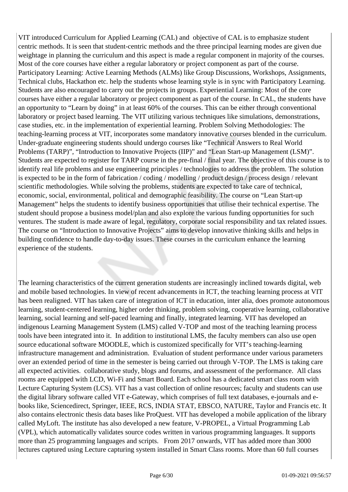VIT introduced Curriculum for Applied Learning (CAL) and objective of CAL is to emphasize student centric methods. It is seen that student-centric methods and the three principal learning modes are given due weightage in planning the curriculum and this aspect is made a regular component in majority of the courses. Most of the core courses have either a regular laboratory or project component as part of the course. Participatory Learning: Active Learning Methods (ALMs) like Group Discussions, Workshops, Assignments, Technical clubs, Hackathon etc. help the students whose learning style is in sync with Participatory Learning. Students are also encouraged to carry out the projects in groups. Experiential Learning: Most of the core courses have either a regular laboratory or project component as part of the course. In CAL, the students have an opportunity to "Learn by doing" in at least 60% of the courses. This can be either through conventional laboratory or project based learning. The VIT utilizing various techniques like simulations, demonstrations, case studies, etc. in the implementation of experiential learning. Problem Solving Methodologies: The teaching-learning process at VIT, incorporates some mandatory innovative courses blended in the curriculum. Under-graduate engineering students should undergo courses like "Technical Answers to Real World Problems (TARP)", "Introduction to Innovative Projects (IIP)" and "Lean Start-up Management (LSM)". Students are expected to register for TARP course in the pre-final / final year. The objective of this course is to identify real life problems and use engineering principles / technologies to address the problem. The solution is expected to be in the form of fabrication / coding / modelling / product design / process design / relevant scientific methodologies. While solving the problems, students are expected to take care of technical, economic, social, environmental, political and demographic feasibility. The course on "Lean Start-up Management" helps the students to identify business opportunities that utilise their technical expertise. The student should propose a business model/plan and also explore the various funding opportunities for such ventures. The student is made aware of legal, regulatory, corporate social responsibility and tax related issues. The course on "Introduction to Innovative Projects" aims to develop innovative thinking skills and helps in building confidence to handle day-to-day issues. These courses in the curriculum enhance the learning experience of the students.

The learning characteristics of the current generation students are increasingly inclined towards digital, web and mobile based technologies. In view of recent advancements in ICT, the teaching learning process at VIT has been realigned. VIT has taken care of integration of ICT in education, inter alia, does promote autonomous learning, student-centered learning, higher order thinking, problem solving, cooperative learning, collaborative learning, social learning and self-paced learning and finally, integrated learning. VIT has developed an indigenous Learning Management System (LMS) called V-TOP and most of the teaching learning process tools have been integrated into it. In addition to institutional LMS, the faculty members can also use open source educational software MOODLE, which is customized specifically for VIT's teaching-learning infrastructure management and administration. Evaluation of student performance under various parameters over an extended period of time in the semester is being carried out through V-TOP. The LMS is taking care all expected activities. collaborative study, blogs and forums, and assessment of the performance. All class rooms are equipped with LCD, Wi-Fi and Smart Board. Each school has a dedicated smart class room with Lecture Capturing System (LCS). VIT has a vast collection of online resources; faculty and students can use the digital library software called VIT e-Gateway, which comprises of full text databases, e-journals and ebooks like, Sciencedirect, Springer, IEEE, RCS, INDIA STAT, EBSCO, NATURE, Taylor and Francis etc. It also contains electronic thesis data bases like ProQuest. VIT has developed a mobile application of the library called MyLoft. The institute has also developed a new feature, V-PROPEL, a Virtual Programming Lab (VPL), which automatically validates source codes written in various programming languages. It supports more than 25 programming languages and scripts. From 2017 onwards, VIT has added more than 3000 lectures captured using Lecture capturing system installed in Smart Class rooms. More than 60 full courses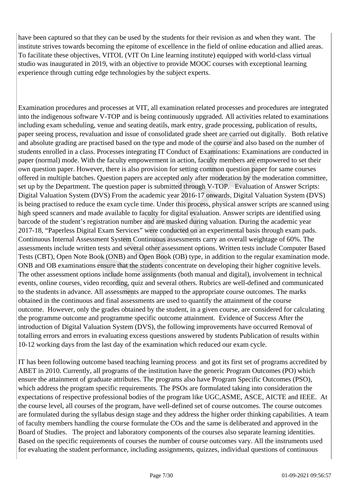have been captured so that they can be used by the students for their revision as and when they want. The institute strives towards becoming the epitome of excellence in the field of online education and allied areas. To facilitate these objectives, VITOL (VIT On Line learning institute) equipped with world-class virtual studio was inaugurated in 2019, with an objective to provide MOOC courses with exceptional learning experience through cutting edge technologies by the subject experts.

Examination procedures and processes at VIT, all examination related processes and procedures are integrated into the indigenous software V-TOP and is being continuously upgraded. All activities related to examinations including exam scheduling, venue and seating deatils, mark entry, grade processing, publication of results, paper seeing process, revaluation and issue of consolidated grade sheet are carried out digitally. Both relative and absolute grading are practised based on the type and mode of the course and also based on the number of students enrolled in a class. Processes integrating IT Conduct of Examinations: Examinations are conducted in paper (normal) mode. With the faculty empowerment in action, faculty members are empowered to set their own question paper. However, there is also provision for setting common question paper for same courses offered in multiple batches. Question papers are accepted only after moderation by the moderation committee, set up by the Department. The question paper is submitted through V-TOP. Evaluation of Answer Scripts: Digital Valuation System (DVS) From the academic year 2016-17 onwards, Digital Valuation System (DVS) is being practised to reduce the exam cycle time. Under this process, physical answer scripts are scanned using high speed scanners and made available to faculty for digital evaluation. Answer scripts are identified using barcode of the student's registration number and are masked during valuation. During the academic year 2017-18, "Paperless Digital Exam Services" were conducted on an experimental basis through exam pads. Continuous Internal Assessment System Continuous assessments carry an overall weightage of 60%. The assessments include written tests and several other assessment options. Written tests include Computer Based Tests (CBT), Open Note Book (ONB) and Open Book (OB) type, in addition to the regular examination mode. ONB and OB examinations ensure that the students concentrate on developing their higher cognitive levels. The other assessment options include home assignments (both manual and digital), involvement in technical events, online courses, video recording, quiz and several others. Rubrics are well-defined and communicated to the students in advance. All assessments are mapped to the appropriate course outcomes. The marks obtained in the continuous and final assessments are used to quantify the attainment of the course outcome. However, only the grades obtained by the student, in a given course, are considered for calculating the programme outcome and programme specific outcome attainment. Evidence of Success After the introduction of Digital Valuation System (DVS), the following improvements have occurred Removal of totalling errors and errors in evaluating excess questions answered by students Publication of results within 10-12 working days from the last day of the examination which reduced our exam cycle.

IT has been following outcome based teaching learning process and got its first set of programs accredited by ABET in 2010. Currently, all programs of the institution have the generic Program Outcomes (PO) which ensure the attainment of graduate attributes. The programs also have Program Specific Outcomes (PSO), which address the program specific requirements. The PSOs are formulated taking into consideration the expectations of respective professional bodies of the program like UGC,ASME, ASCE, AICTE and IEEE. At the course level, all courses of the program, have well-defined set of course outcomes. The course outcomes are formulated during the syllabus design stage and they address the higher order thinking capabilities. A team of faculty members handling the course formulate the COs and the same is deliberated and approved in the Board of Studies. The project and laboratory components of the courses also separate learning identities. Based on the specific requirements of courses the number of course outcomes vary. All the instruments used for evaluating the student performance, including assignments, quizzes, individual questions of continuous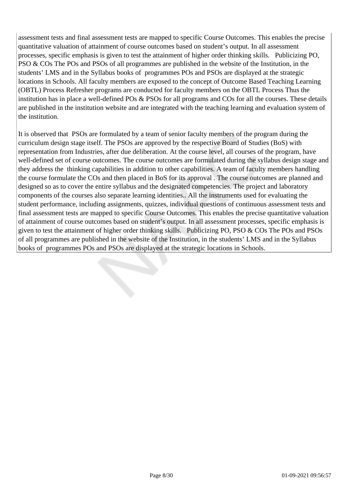assessment tests and final assessment tests are mapped to specific Course Outcomes. This enables the precise quantitative valuation of attainment of course outcomes based on student's output. In all assessment processes, specific emphasis is given to test the attainment of higher order thinking skills. Publicizing PO, PSO & COs The POs and PSOs of all programmes are published in the website of the Institution, in the students' LMS and in the Syllabus books of programmes POs and PSOs are displayed at the strategic locations in Schools. All faculty members are exposed to the concept of Outcome Based Teaching Learning (OBTL) Process Refresher programs are conducted for faculty members on the OBTL Process Thus the institution has in place a well-defined POs & PSOs for all programs and COs for all the courses. These details are published in the institution website and are integrated with the teaching learning and evaluation system of the institution.

It is observed that PSOs are formulated by a team of senior faculty members of the program during the curriculum design stage itself. The PSOs are approved by the respective Board of Studies (BoS) with representation from Industries, after due deliberation. At the course level, all courses of the program, have well-defined set of course outcomes. The course outcomes are formulated during the syllabus design stage and they address the thinking capabilities in addition to other capabilities. A team of faculty members handling the course formulate the COs and then placed in BoS for its approval . The course outcomes are planned and designed so as to cover the entire syllabus and the designated competencies. The project and laboratory components of the courses also separate learning identities.. All the instruments used for evaluating the student performance, including assignments, quizzes, individual questions of continuous assessment tests and final assessment tests are mapped to specific Course Outcomes. This enables the precise quantitative valuation of attainment of course outcomes based on student's output. In all assessment processes, specific emphasis is given to test the attainment of higher order thinking skills. Publicizing PO, PSO & COs The POs and PSOs of all programmes are published in the website of the Institution, in the students' LMS and in the Syllabus books of programmes POs and PSOs are displayed at the strategic locations in Schools.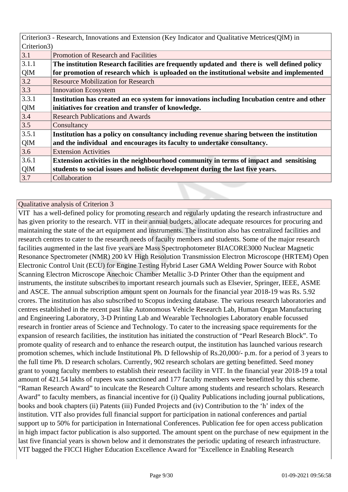| Criterion3 - Research, Innovations and Extension (Key Indicator and Qualitative Metrices (QIM) in |                                                                                             |  |
|---------------------------------------------------------------------------------------------------|---------------------------------------------------------------------------------------------|--|
| Criterion3)                                                                                       |                                                                                             |  |
| 3.1                                                                                               | Promotion of Research and Facilities                                                        |  |
| 3.1.1                                                                                             | The institution Research facilities are frequently updated and there is well defined policy |  |
| QlM                                                                                               | for promotion of research which is uploaded on the institutional website and implemented    |  |
| 3.2                                                                                               | <b>Resource Mobilization for Research</b>                                                   |  |
| 3.3                                                                                               | <b>Innovation Ecosystem</b>                                                                 |  |
| 3.3.1                                                                                             | Institution has created an eco system for innovations including Incubation centre and other |  |
| QlM                                                                                               | initiatives for creation and transfer of knowledge.                                         |  |
| 3.4                                                                                               | <b>Research Publications and Awards</b>                                                     |  |
| 3.5                                                                                               | Consultancy                                                                                 |  |
| 3.5.1                                                                                             | Institution has a policy on consultancy including revenue sharing between the institution   |  |
| QlM                                                                                               | and the individual and encourages its faculty to undertake consultancy.                     |  |
| 3.6                                                                                               | <b>Extension Activities</b>                                                                 |  |
| 3.6.1                                                                                             | Extension activities in the neighbourhood community in terms of impact and sensitising      |  |
| QlM                                                                                               | students to social issues and holistic development during the last five years.              |  |
| 3.7                                                                                               | Collaboration                                                                               |  |
|                                                                                                   |                                                                                             |  |

VIT has a well-defined policy for promoting research and regularly updating the research infrastructure and has given priority to the research. VIT in their annual budgets, allocate adequate resources for procuring and maintaining the state of the art equipment and instruments. The institution also has centralized facilities and research centres to cater to the research needs of faculty members and students. Some of the major research facilities augmented in the last five years are Mass Spectrophotometer BIACORE3000 Nuclear Magnetic Resonance Spectrometer (NMR) 200 kV High Resolution Transmission Electron Microscope (HRTEM) Open Electronic Control Unit (ECU) for Engine Testing Hybrid Laser GMA Welding Power Source with Robot Scanning Electron Microscope Anechoic Chamber Metallic 3-D Printer Other than the equipment and instruments, the institute subscribes to important research journals such as Elsevier, Springer, IEEE, ASME and ASCE. The annual subscription amount spent on Journals for the financial year 2018-19 was Rs. 5.92 crores. The institution has also subscribed to Scopus indexing database. The various research laboratories and centres established in the recent past like Autonomous Vehicle Research Lab, Human Organ Manufacturing and Engineering Laboratory, 3-D Printing Lab and Wearable Technologies Laboratory enable focussed research in frontier areas of Science and Technology. To cater to the increasing space requirements for the expansion of research facilities, the institution has initiated the construction of "Pearl Research Block". To promote quality of research and to enhance the research output, the institution has launched various research promotion schemes, which include Institutional Ph. D fellowship of Rs.20,000/- p.m. for a period of 3 years to the full time Ph. D research scholars. Currently, 902 research scholars are getting benefitted. Seed money grant to young faculty members to establish their research facility in VIT. In the financial year 2018-19 a total amount of 421.54 lakhs of rupees was sanctioned and 177 faculty members were benefitted by this scheme. "Raman Research Award" to inculcate the Research Culture among students and research scholars. Research Award" to faculty members, as financial incentive for (i) Quality Publications including journal publications, books and book chapters (ii) Patents (iii) Funded Projects and (iv) Contribution to the 'h' index of the institution. VIT also provides full financial support for participation in national conferences and partial support up to 50% for participation in International Conferences. Publication fee for open access publication in high impact factor publication is also supported. The amount spent on the purchase of new equipment in the last five financial years is shown below and it demonstrates the periodic updating of research infrastructure. VIT bagged the FICCI Higher Education Excellence Award for "Excellence in Enabling Research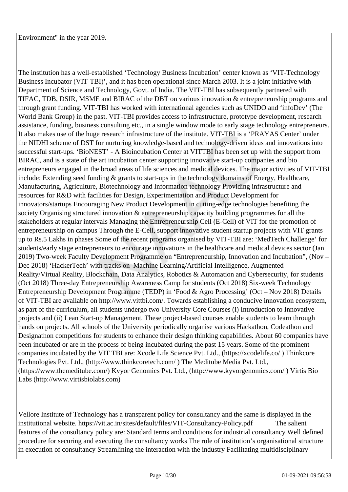The institution has a well-established 'Technology Business Incubation' center known as 'VIT-Technology Business Incubator (VIT-TBI)', and it has been operational since March 2003. It is a joint initiative with Department of Science and Technology, Govt. of India. The VIT-TBI has subsequently partnered with TIFAC, TDB, DSIR, MSME and BIRAC of the DBT on various innovation & entrepreneurship programs and through grant funding. VIT-TBI has worked with international agencies such as UNIDO and 'infoDev' (The World Bank Group) in the past. VIT-TBI provides access to infrastructure, prototype development, research assistance, funding, business consulting etc., in a single window mode to early stage technology entrepreneurs. It also makes use of the huge research infrastructure of the institute. VIT-TBI is a 'PRAYAS Center' under the NIDHI scheme of DST for nurturing knowledge-based and technology-driven ideas and innovations into successful start-ups. 'BioNEST' - A Bioincubation Center at VITTBI has been set up with the support from BIRAC, and is a state of the art incubation center supporting innovative start-up companies and bio entrepreneurs engaged in the broad areas of life sciences and medical devices. The major activities of VIT-TBI include: Extending seed funding & grants to start-ups in the technology domains of Energy, Healthcare, Manufacturing, Agriculture, Biotechnology and Information technology Providing infrastructure and resources for R&D with facilities for Design, Experimentation and Product Development for innovators/startups Encouraging New Product Development in cutting-edge technologies benefiting the society Organising structured innovation & entrepreneurship capacity building programmes for all the stakeholders at regular intervals Managing the Entrepreneurship Cell (E-Cell) of VIT for the promotion of entrepreneurship on campus Through the E-Cell, support innovative student startup projects with VIT grants up to Rs.5 Lakhs in phases Some of the recent programs organised by VIT-TBI are: 'MedTech Challenge' for students/early stage entrepreneurs to encourage innovations in the healthcare and medical devices sector (Jan 2019) Two-week Faculty Development Programme on "Entrepreneurship, Innovation and Incubation", (Nov – Dec 2018) 'HackerTech' with tracks on Machine Learning/Artificial Intelligence, Augmented Reality/Virtual Reality, Blockchain, Data Analytics, Robotics & Automation and Cybersecurity, for students (Oct 2018) Three-day Entrepreneurship Awareness Camp for students (Oct 2018) Six-week Technology Entrepreneurship Development Programme (TEDP) in 'Food & Agro Processing' (Oct – Nov 2018) Details of VIT-TBI are available on http://www.vittbi.com/. Towards establishing a conducive innovation ecosystem, as part of the curriculum, all students undergo two University Core Courses (i) Introduction to Innovative projects and (ii) Lean Start-up Management. These project-based courses enable students to learn through hands on projects. All schools of the University periodically organise various Hackathon, Codeathon and Designathon competitions for students to enhance their design thinking capabilities. About 60 companies have been incubated or are in the process of being incubated during the past 15 years. Some of the prominent companies incubated by the VIT TBI are: Xcode Life Science Pvt. Ltd., (https://xcodelife.co/ ) Thinkcore Technologies Pvt. Ltd., (http://www.thinkcoretech.com/ ) The Meditube Media Pvt. Ltd., (https://www.themeditube.com/) Kvyor Genomics Pvt. Ltd., (http://www.kyvorgenomics.com/ ) Virtis Bio Labs (http://www.virtisbiolabs.com)

Vellore Institute of Technology has a transparent policy for consultancy and the same is displayed in the institutional website. https://vit.ac.in/sites/default/files/VIT-Consultancy-Policy.pdf The salient features of the consultancy policy are: Standard terms and conditions for industrial consultancy Well defined procedure for securing and executing the consultancy works The role of institution's organisational structure in execution of consultancy Streamlining the interaction with the industry Facilitating multidisciplinary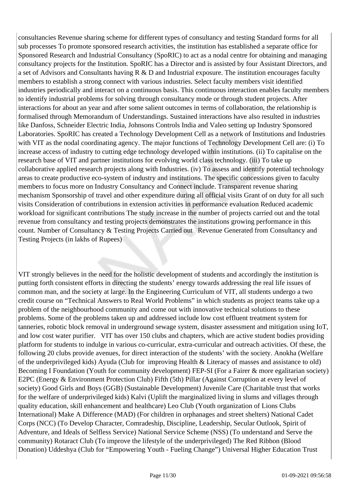consultancies Revenue sharing scheme for different types of consultancy and testing Standard forms for all sub processes To promote sponsored research activities, the institution has established a separate office for Sponsored Research and Industrial Consultancy (SpoRIC) to act as a nodal centre for obtaining and managing consultancy projects for the Institution. SpoRIC has a Director and is assisted by four Assistant Directors, and a set of Advisors and Consultants having R & D and Industrial exposure. The institution encourages faculty members to establish a strong connect with various industries. Select faculty members visit identified industries periodically and interact on a continuous basis. This continuous interaction enables faculty members to identify industrial problems for solving through consultancy mode or through student projects. After interactions for about an year and after some salient outcomes in terms of collaboration, the relationship is formalised through Memorandum of Understandings. Sustained interactions have also resulted in industries like Danfoss, Schneider Electric India, Johnsons Controls India and Valeo setting up Industry Sponsored Laboratories. SpoRIC has created a Technology Development Cell as a network of Institutions and Industries with VIT as the nodal coordinating agency. The major functions of Technology Development Cell are: (i) To increase access of industry to cutting edge technology developed within institutions. (ii) To capitalise on the research base of VIT and partner institutions for evolving world class technology. (iii) To take up collaborative applied research projects along with Industries. (iv) To assess and identify potential technology areas to create productive eco-system of industry and institutions. The specific concessions given to faculty members to focus more on Industry Consultancy and Connect include. Transparent revenue sharing mechanism Sponsorship of travel and other expenditure during all official visits Grant of on duty for all such visits Consideration of contributions in extension activities in performance evaluation Reduced academic workload for significant contributions The study increase in the number of projects carried out and the total revenue from consultancy and testing projects demonstrates the institutions growing performance in this count. Number of Consultancy & Testing Projects Carried out Revenue Generated from Consultancy and Testing Projects (in lakhs of Rupees)

VIT strongly believes in the need for the holistic development of students and accordingly the institution is putting forth consistent efforts in directing the students' energy towards addressing the real life issues of common man, and the society at large. In the Engineering Curriculum of VIT, all students undergo a two credit course on "Technical Answers to Real World Problems" in which students as project teams take up a problem of the neighbourhood community and come out with innovative technical solutions to these problems. Some of the problems taken up and addressed include low cost effluent treatment system for tanneries, robotic block removal in underground sewage system, disaster assessment and mitigation using IoT, and low cost water purifier. VIT has over 150 clubs and chapters, which are active student bodies providing platform for students to indulge in various co-curricular, extra-curricular and outreach activities. Of these, the following 20 clubs provide avenues, for direct interaction of the students' with the society. Anokha (Welfare of the underprivileged kids) Ayuda (Club for improving Health & Literacy of masses and assistance to old) Becoming I Foundation (Youth for community development) FEP-SI (For a Fairer & more egalitarian society) E2PC (Energy & Environment Protection Club) Fifth (5th) Pillar (Against Corruption at every level of society) Good Girls and Boys (GGB) (Sustainable Development) Juvenile Care (Charitable trust that works for the welfare of underprivileged kids) Kalvi (Uplift the marginalized living in slums and villages through quality education, skill enhancement and healthcare) Leo Club (Youth organization of Lions Clubs International) Make A Difference (MAD) (For children in orphanages and street shelters) National Cadet Corps (NCC) (To Develop Character, Comradeship, Discipline, Leadership, Secular Outlook, Spirit of Adventure, and Ideals of Selfless Service) National Service Scheme (NSS) (To understand and Serve the community) Rotaract Club (To improve the lifestyle of the underprivileged) The Red Ribbon (Blood Donation) Uddeshya (Club for "Empowering Youth - Fueling Change") Universal Higher Education Trust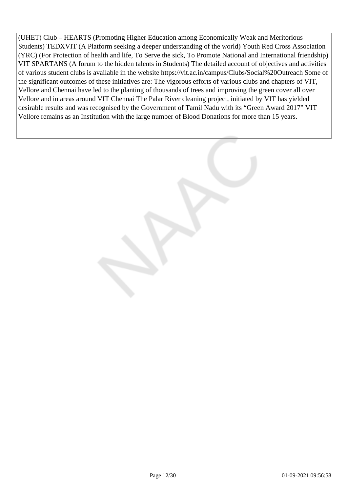(UHET) Club – HEARTS (Promoting Higher Education among Economically Weak and Meritorious Students) TEDXVIT (A Platform seeking a deeper understanding of the world) Youth Red Cross Association (YRC) (For Protection of health and life, To Serve the sick, To Promote National and International friendship) VIT SPARTANS (A forum to the hidden talents in Students) The detailed account of objectives and activities of various student clubs is available in the website https://vit.ac.in/campus/Clubs/Social%20Outreach Some of the significant outcomes of these initiatives are: The vigorous efforts of various clubs and chapters of VIT, Vellore and Chennai have led to the planting of thousands of trees and improving the green cover all over Vellore and in areas around VIT Chennai The Palar River cleaning project, initiated by VIT has yielded desirable results and was recognised by the Government of Tamil Nadu with its "Green Award 2017" VIT Vellore remains as an Institution with the large number of Blood Donations for more than 15 years.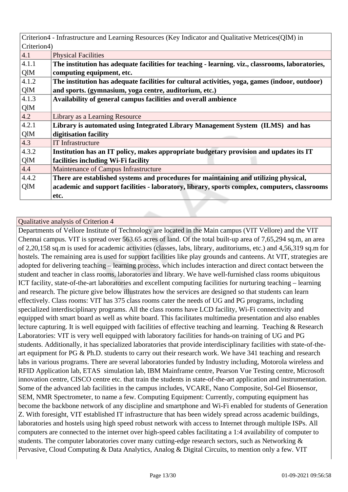|             | Criterion4 - Infrastructure and Learning Resources (Key Indicator and Qualitative Metrices (QIM) in |  |
|-------------|-----------------------------------------------------------------------------------------------------|--|
| Criterion4) |                                                                                                     |  |
| 4.1         | <b>Physical Facilities</b>                                                                          |  |
| 4.1.1       | The institution has adequate facilities for teaching - learning. viz., classrooms, laboratories,    |  |
| QlM         | computing equipment, etc.                                                                           |  |
| 4.1.2       | The institution has adequate facilities for cultural activities, yoga, games (indoor, outdoor)      |  |
| QlM         | and sports. (gymnasium, yoga centre, auditorium, etc.)                                              |  |
| 4.1.3       | Availability of general campus facilities and overall ambience                                      |  |
| QlM         |                                                                                                     |  |
| 4.2         | Library as a Learning Resource                                                                      |  |
| 4.2.1       | Library is automated using Integrated Library Management System (ILMS) and has                      |  |
| QlM         | digitisation facility                                                                               |  |
| 4.3         | <b>IT Infrastructure</b>                                                                            |  |
| 4.3.2       | Institution has an IT policy, makes appropriate budgetary provision and updates its IT              |  |
| QlM         | facilities including Wi-Fi facility                                                                 |  |
| 4.4         | Maintenance of Campus Infrastructure                                                                |  |
| 4.4.2       | There are established systems and procedures for maintaining and utilizing physical,                |  |
| QIM         | academic and support facilities - laboratory, library, sports complex, computers, classrooms        |  |
|             | etc.                                                                                                |  |

Departments of Vellore Institute of Technology are located in the Main campus (VIT Vellore) and the VIT Chennai campus. VIT is spread over 563.65 acres of land. Of the total built-up area of 7,65,294 sq.m, an area of 2,20,158 sq.m is used for academic activities (classes, labs, library, auditoriums, etc.) and 4,56,319 sq.m for hostels. The remaining area is used for support facilities like play grounds and canteens. At VIT, strategies are adopted for delivering teaching – learning process, which includes interaction and direct contact between the student and teacher in class rooms, laboratories and library. We have well-furnished class rooms ubiquitous ICT facility, state-of-the-art laboratories and excellent computing facilities for nurturing teaching – learning and research. The picture give below illustrates how the services are designed so that students can learn effectively. Class rooms: VIT has 375 class rooms cater the needs of UG and PG programs, including specialized interdisciplinary programs. All the class rooms have LCD facility, Wi-Fi connectivity and equipped with smart board as well as white board. This facilitates multimedia presentation and also enables lecture capturing. It is well equipped with facilities of effective teaching and learning. Teaching & Research Laboratories: VIT is very well equipped with laboratory facilities for hands-on training of UG and PG students. Additionally, it has specialized laboratories that provide interdisciplinary facilities with state-of-theart equipment for PG & Ph.D. students to carry out their research work. We have 341 teaching and research labs in various programs. There are several laboratories funded by Industry including, Motorola wireless and RFID Application lab, ETAS simulation lab, IBM Mainframe centre, Pearson Vue Testing centre, Microsoft innovation centre, CISCO centre etc. that train the students in state-of-the-art application and instrumentation. Some of the advanced lab facilities in the campus includes, VCARE, Nano Composite, Sol-Gel Biosensor, SEM, NMR Spectrometer, to name a few. Computing Equipment: Currently, computing equipment has become the backbone network of any discipline and smartphone and Wi-Fi enabled for students of Generation Z. With foresight, VIT established IT infrastructure that has been widely spread across academic buildings, laboratories and hostels using high speed robust network with access to Internet through multiple ISPs. All computers are connected to the internet over high-speed cables facilitating a 1:4 availability of computer to students. The computer laboratories cover many cutting-edge research sectors, such as Networking & Pervasive, Cloud Computing & Data Analytics, Analog & Digital Circuits, to mention only a few. VIT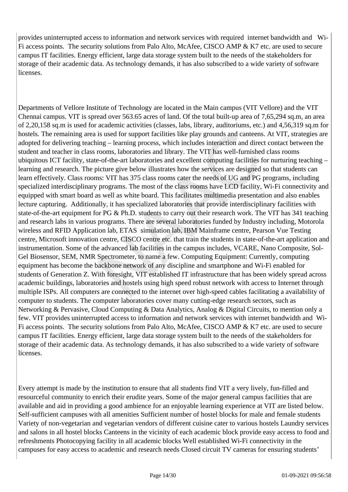provides uninterrupted access to information and network services with required internet bandwidth and Wi-Fi access points. The security solutions from Palo Alto, McAfee, CISCO AMP & K7 etc. are used to secure campus IT facilities. Energy efficient, large data storage system built to the needs of the stakeholders for storage of their academic data. As technology demands, it has also subscribed to a wide variety of software licenses.

Departments of Vellore Institute of Technology are located in the Main campus (VIT Vellore) and the VIT Chennai campus. VIT is spread over 563.65 acres of land. Of the total built-up area of 7,65,294 sq.m, an area of 2,20,158 sq.m is used for academic activities (classes, labs, library, auditoriums, etc.) and 4,56,319 sq.m for hostels. The remaining area is used for support facilities like play grounds and canteens. At VIT, strategies are adopted for delivering teaching – learning process, which includes interaction and direct contact between the student and teacher in class rooms, laboratories and library. The VIT has well-furnished class rooms ubiquitous ICT facility, state-of-the-art laboratories and excellent computing facilities for nurturing teaching – learning and research. The picture give below illustrates how the services are designed so that students can learn effectively. Class rooms: VIT has 375 class rooms cater the needs of UG and PG programs, including specialized interdisciplinary programs. The most of the class rooms have LCD facility, Wi-Fi connectivity and equipped with smart board as well as white board. This facilitates multimedia presentation and also enables lecture capturing. Additionally, it has specialized laboratories that provide interdisciplinary facilities with state-of-the-art equipment for PG & Ph.D. students to carry out their research work. The VIT has 341 teaching and research labs in various programs. There are several laboratories funded by Industry including, Motorola wireless and RFID Application lab, ETAS simulation lab, IBM Mainframe centre, Pearson Vue Testing centre, Microsoft innovation centre, CISCO centre etc. that train the students in state-of-the-art application and instrumentation. Some of the advanced lab facilities in the campus includes, VCARE, Nano Composite, Sol-Gel Biosensor, SEM, NMR Spectrometer, to name a few. Computing Equipment: Currently, computing equipment has become the backbone network of any discipline and smartphone and Wi-Fi enabled for students of Generation Z. With foresight, VIT established IT infrastructure that has been widely spread across academic buildings, laboratories and hostels using high speed robust network with access to Internet through multiple ISPs. All computers are connected to the internet over high-speed cables facilitating a availability of computer to students. The computer laboratories cover many cutting-edge research sectors, such as Networking & Pervasive, Cloud Computing & Data Analytics, Analog & Digital Circuits, to mention only a few. VIT provides uninterrupted access to information and network services with internet bandwidth and Wi-Fi access points. The security solutions from Palo Alto, McAfee, CISCO AMP & K7 etc. are used to secure campus IT facilities. Energy efficient, large data storage system built to the needs of the stakeholders for storage of their academic data. As technology demands, it has also subscribed to a wide variety of software **licenses** 

Every attempt is made by the institution to ensure that all students find VIT a very lively, fun-filled and resourceful community to enrich their erudite years. Some of the major general campus facilities that are available and aid in providing a good ambience for an enjoyable learning experience at VIT are listed below. Self-sufficient campuses with all amenities Sufficient number of hostel blocks for male and female students Variety of non-vegetarian and vegetarian vendors of different cuisine cater to various hostels Laundry services and salons in all hostel blocks Canteens in the vicinity of each academic block provide easy access to food and refreshments Photocopying facility in all academic blocks Well established Wi-Fi connectivity in the campuses for easy access to academic and research needs Closed circuit TV cameras for ensuring students'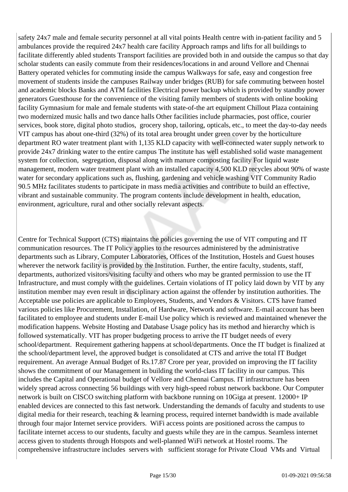safety 24x7 male and female security personnel at all vital points Health centre with in-patient facility and 5 ambulances provide the required 24x7 health care facility Approach ramps and lifts for all buildings to facilitate differently abled students Transport facilities are provided both in and outside the campus so that day scholar students can easily commute from their residences/locations in and around Vellore and Chennai Battery operated vehicles for commuting inside the campus Walkways for safe, easy and congestion free movement of students inside the campuses Railway under bridges (RUB) for safe commuting between hostel and academic blocks Banks and ATM facilities Electrical power backup which is provided by standby power generators Guesthouse for the convenience of the visiting family members of students with online booking facility Gymnasium for male and female students with state-of-the art equipment Chillout Plaza containing two modernized music halls and two dance halls Other facilities include pharmacies, post office, courier services, book store, digital photo studios, grocery shop, tailoring, opticals, etc., to meet the day-to-day needs VIT campus has about one-third (32%) of its total area brought under green cover by the horticulture department RO water treatment plant with 1,135 KLD capacity with well-connected water supply network to provide 24x7 drinking water to the entire campus The institute has well established solid waste management system for collection, segregation, disposal along with manure composting facility For liquid waste management, modern water treatment plant with an installed capacity 4,500 KLD recycles about 90% of waste water for secondary applications such as, flushing, gardening and vehicle washing VIT Community Radio 90.5 MHz facilitates students to participate in mass media activities and contribute to build an effective, vibrant and sustainable community. The program contents include development in health, education, environment, agriculture, rural and other socially relevant aspects.

Centre for Technical Support (CTS) maintains the policies governing the use of VIT computing and IT communication resources. The IT Policy applies to the resources administered by the administrative departments such as Library, Computer Laboratories, Offices of the Institution, Hostels and Guest houses wherever the network facility is provided by the Institution. Further, the entire faculty, students, staff, departments, authorized visitors/visiting faculty and others who may be granted permission to use the IT Infrastructure, and must comply with the guidelines. Certain violations of IT policy laid down by VIT by any institution member may even result in disciplinary action against the offender by institution authorities. The Acceptable use policies are applicable to Employees, Students, and Vendors & Visitors. CTS have framed various policies like Procurement, Installation, of Hardware, Network and software. E-mail account has been facilitated to employee and students under E-mail Use policy which is reviewed and maintained whenever the modification happens. Website Hosting and Database Usage policy has its method and hierarchy which is followed systematically. VIT has proper budgeting process to arrive the IT budget needs of every school/department. Requirement gathering happens at school/departments. Once the IT budget is finalized at the school/department level, the approved budget is consolidated at CTS and arrive the total IT Budget requirement. An average Annual Budget of Rs.17.87 Crore per year, provided on improving the IT facility shows the commitment of our Management in building the world-class IT facility in our campus. This includes the Capital and Operational budget of Vellore and Chennai Campus. IT infrastructure has been widely spread across connecting 56 buildings with very high-speed robust network backbone. Our Computer network is built on CISCO switching platform with backbone running on 10Giga at present. 12000+ IP enabled devices are connected to this fast network. Understanding the demands of faculty and students to use digital media for their research, teaching & learning process, required internet bandwidth is made available through four major Internet service providers. WiFi access points are positioned across the campus to facilitate internet access to our students, faculty and guests while they are in the campus. Seamless internet access given to students through Hotspots and well-planned WiFi network at Hostel rooms. The comprehensive infrastructure includes servers with sufficient storage for Private Cloud VMs and Virtual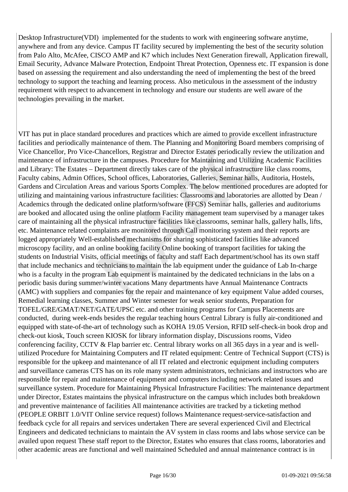Desktop Infrastructure(VDI) implemented for the students to work with engineering software anytime, anywhere and from any device. Campus IT facility secured by implementing the best of the security solution from Palo Alto, McAfee, CISCO AMP and K7 which includes Next Generation firewall, Application firewall, Email Security, Advance Malware Protection, Endpoint Threat Protection, Openness etc. IT expansion is done based on assessing the requirement and also understanding the need of implementing the best of the breed technology to support the teaching and learning process. Also meticulous in the assessment of the industry requirement with respect to advancement in technology and ensure our students are well aware of the technologies prevailing in the market.

VIT has put in place standard procedures and practices which are aimed to provide excellent infrastructure facilities and periodically maintenance of them. The Planning and Monitoring Board members comprising of Vice Chancellor, Pro Vice-Chancellors, Registrar and Director Estates periodically review the utilization and maintenance of infrastructure in the campuses. Procedure for Maintaining and Utilizing Academic Facilities and Library: The Estates – Department directly takes care of the physical infrastructure like class rooms, Faculty cabins, Admin Offices, School offices, Laboratories, Galleries, Seminar halls, Auditoria, Hostels, Gardens and Circulation Areas and various Sports Complex. The below mentioned procedures are adopted for utilizing and maintaining various infrastructure facilities: Classrooms and laboratories are allotted by Dean / Academics through the dedicated online platform/software (FFCS) Seminar halls, galleries and auditoriums are booked and allocated using the online platform Facility management team supervised by a manager takes care of maintaining all the physical infrastructure facilities like classrooms, seminar halls, gallery halls, lifts, etc. Maintenance related complaints are monitored through Call monitoring system and their reports are logged appropriately Well-established mechanisms for sharing sophisticated facilities like advanced microscopy facility, and an online booking facility Online booking of transport facilities for taking the students on Industrial Visits, official meetings of faculty and staff Each department/school has its own staff that include mechanics and technicians to maintain the lab equipment under the guidance of Lab In-charge who is a faculty in the program Lab equipment is maintained by the dedicated technicians in the labs on a periodic basis during summer/winter vacations Many departments have Annual Maintenance Contracts (AMC) with suppliers and companies for the repair and maintenance of key equipment Value added courses, Remedial learning classes, Summer and Winter semester for weak senior students, Preparation for TOFEL/GRE/GMAT/NET/GATE/UPSC etc. and other training programs for Campus Placements are conducted, during week-ends besides the regular teaching hours Central Library is fully air-conditioned and equipped with state-of-the-art of technology such as KOHA 19.05 Version, RFID self-check-in book drop and check-out kiosk, Touch screen KIOSK for library information display, Discussions rooms, Video conferencing facility, CCTV & Flap barrier etc. Central library works on all 365 days in a year and is wellutilized Procedure for Maintaining Computers and IT related equipment: Centre of Technical Support (CTS) is responsible for the upkeep and maintenance of all IT related and electronic equipment including computers and surveillance cameras CTS has on its role many system administrators, technicians and instructors who are responsible for repair and maintenance of equipment and computers including network related issues and surveillance system. Procedure for Maintaining Physical Infrastructure Facilities: The maintenance department under Director, Estates maintains the physical infrastructure on the campus which includes both breakdown and preventive maintenance of facilities All maintenance activities are tracked by a ticketing method (PEOPLE ORBIT 1.0/VIT Online service request) follows Maintenance request-service-satisfaction and feedback cycle for all repairs and services undertaken There are several experienced Civil and Electrical Engineers and dedicated technicians to maintain the AV system in class rooms and labs whose service can be availed upon request These staff report to the Director, Estates who ensures that class rooms, laboratories and other academic areas are functional and well maintained Scheduled and annual maintenance contract is in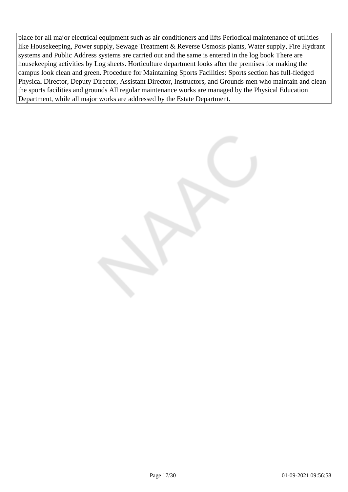place for all major electrical equipment such as air conditioners and lifts Periodical maintenance of utilities like Housekeeping, Power supply, Sewage Treatment & Reverse Osmosis plants, Water supply, Fire Hydrant systems and Public Address systems are carried out and the same is entered in the log book There are housekeeping activities by Log sheets. Horticulture department looks after the premises for making the campus look clean and green. Procedure for Maintaining Sports Facilities: Sports section has full-fledged Physical Director, Deputy Director, Assistant Director, Instructors, and Grounds men who maintain and clean the sports facilities and grounds All regular maintenance works are managed by the Physical Education Department, while all major works are addressed by the Estate Department.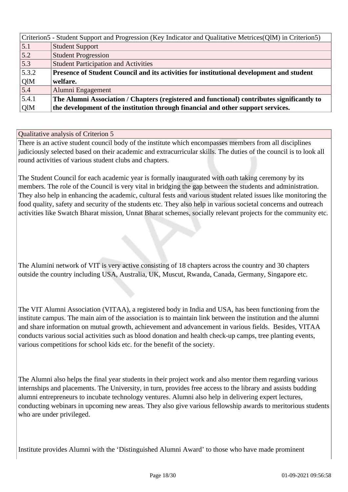|       | Criterion5 - Student Support and Progression (Key Indicator and Qualitative Metrices (QIM) in Criterion5) |
|-------|-----------------------------------------------------------------------------------------------------------|
| 5.1   | <b>Student Support</b>                                                                                    |
| 5.2   | <b>Student Progression</b>                                                                                |
| 5.3   | <b>Student Participation and Activities</b>                                                               |
| 5.3.2 | Presence of Student Council and its activities for institutional development and student                  |
| QlM   | welfare.                                                                                                  |
| 5.4   | Alumni Engagement                                                                                         |
| 5.4.1 | The Alumni Association / Chapters (registered and functional) contributes significantly to                |
| QlM   | the development of the institution through financial and other support services.                          |

There is an active student council body of the institute which encompasses members from all disciplines judiciously selected based on their academic and extracurricular skills. The duties of the council is to look all round activities of various student clubs and chapters.

The Student Council for each academic year is formally inaugurated with oath taking ceremony by its members. The role of the Council is very vital in bridging the gap between the students and administration. They also help in enhancing the academic, cultural fests and various student related issues like monitoring the food quality, safety and security of the students etc. They also help in various societal concerns and outreach activities like Swatch Bharat mission, Unnat Bharat schemes, socially relevant projects for the community etc.

The Alumini network of VIT is very active consisting of 18 chapters across the country and 30 chapters outside the country including USA, Australia, UK, Muscut, Rwanda, Canada, Germany, Singapore etc.

The VIT Alumni Association (VITAA), a registered body in India and USA, has been functioning from the institute campus. The main aim of the association is to maintain link between the institution and the alumni and share information on mutual growth, achievement and advancement in various fields. Besides, VITAA conducts various social activities such as blood donation and health check-up camps, tree planting events, various competitions for school kids etc. for the benefit of the society.

The Alumni also helps the final year students in their project work and also mentor them regarding various internships and placements. The University, in turn, provides free access to the library and assists budding alumni entrepreneurs to incubate technology ventures. Alumni also help in delivering expert lectures, conducting webinars in upcoming new areas. They also give various fellowship awards to meritorious students who are under privileged.

Institute provides Alumni with the 'Distinguished Alumni Award' to those who have made prominent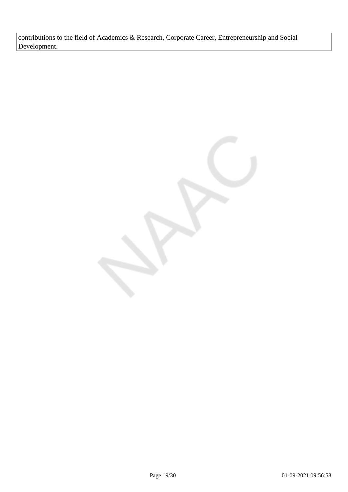contributions to the field of Academics & Research, Corporate Career, Entrepreneurship and Social Development.

Page 19/30 01-09-2021 09:56:58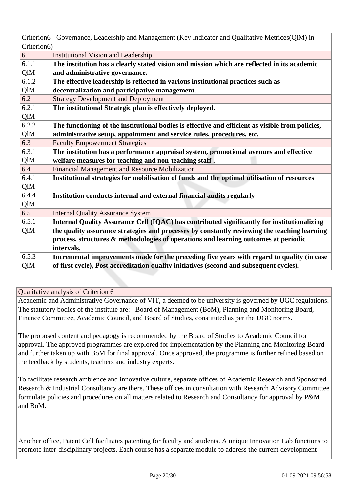| Criterion6 - Governance, Leadership and Management (Key Indicator and Qualitative Metrices(QlM) in        |  |
|-----------------------------------------------------------------------------------------------------------|--|
| Criterion6)                                                                                               |  |
| 6.1<br><b>Institutional Vision and Leadership</b>                                                         |  |
| 6.1.1<br>The institution has a clearly stated vision and mission which are reflected in its academic      |  |
| QlM<br>and administrative governance.                                                                     |  |
| The effective leadership is reflected in various institutional practices such as<br>6.1.2                 |  |
| QlM<br>decentralization and participative management.                                                     |  |
| 6.2<br><b>Strategy Development and Deployment</b>                                                         |  |
| 6.2.1<br>The institutional Strategic plan is effectively deployed.                                        |  |
| QlM                                                                                                       |  |
| 6.2.2<br>The functioning of the institutional bodies is effective and efficient as visible from policies, |  |
| QlM<br>administrative setup, appointment and service rules, procedures, etc.                              |  |
| 6.3<br><b>Faculty Empowerment Strategies</b>                                                              |  |
| 6.3.1<br>The institution has a performance appraisal system, promotional avenues and effective            |  |
| welfare measures for teaching and non-teaching staff.                                                     |  |
| 6.4<br>Financial Management and Resource Mobilization                                                     |  |
| Institutional strategies for mobilisation of funds and the optimal utilisation of resources               |  |
| QlM                                                                                                       |  |
| 6.4.4<br>Institution conducts internal and external financial audits regularly                            |  |
| QlM                                                                                                       |  |
| 6.5<br><b>Internal Quality Assurance System</b>                                                           |  |
| 6.5.1<br>Internal Quality Assurance Cell (IQAC) has contributed significantly for institutionalizing      |  |
| the quality assurance strategies and processes by constantly reviewing the teaching learning<br>QlM       |  |
| process, structures & methodologies of operations and learning outcomes at periodic                       |  |
| intervals.                                                                                                |  |
| 6.5.3<br>Incremental improvements made for the preceding five years with regard to quality (in case       |  |
| of first cycle), Post accreditation quality initiatives (second and subsequent cycles).<br>QlM            |  |

Academic and Administrative Governance of VIT, a deemed to be university is governed by UGC regulations. The statutory bodies of the institute are: Board of Management (BoM), Planning and Monitoring Board, Finance Committee, Academic Council, and Board of Studies, constituted as per the UGC norms.

The proposed content and pedagogy is recommended by the Board of Studies to Academic Council for approval. The approved programmes are explored for implementation by the Planning and Monitoring Board and further taken up with BoM for final approval. Once approved, the programme is further refined based on the feedback by students, teachers and industry experts.

To facilitate research ambience and innovative culture, separate offices of Academic Research and Sponsored Research & Industrial Consultancy are there. These offices in consultation with Research Advisory Committee formulate policies and procedures on all matters related to Research and Consultancy for approval by P&M and BoM.

Another office, Patent Cell facilitates patenting for faculty and students. A unique Innovation Lab functions to promote inter-disciplinary projects. Each course has a separate module to address the current development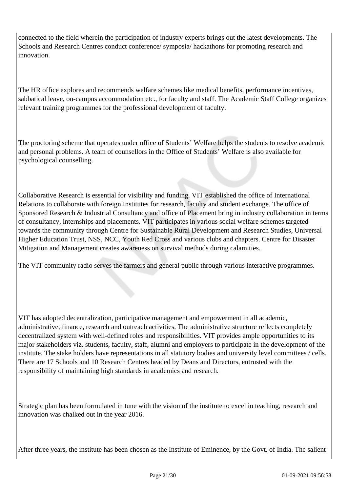connected to the field wherein the participation of industry experts brings out the latest developments. The Schools and Research Centres conduct conference/ symposia/ hackathons for promoting research and innovation.

The HR office explores and recommends welfare schemes like medical benefits, performance incentives, sabbatical leave, on-campus accommodation etc., for faculty and staff. The Academic Staff College organizes relevant training programmes for the professional development of faculty.

The proctoring scheme that operates under office of Students' Welfare helps the students to resolve academic and personal problems. A team of counsellors in the Office of Students' Welfare is also available for psychological counselling.

Collaborative Research is essential for visibility and funding. VIT established the office of International Relations to collaborate with foreign Institutes for research, faculty and student exchange. The office of Sponsored Research & Industrial Consultancy and office of Placement bring in industry collaboration in terms of consultancy, internships and placements. VIT participates in various social welfare schemes targeted towards the community through Centre for Sustainable Rural Development and Research Studies, Universal Higher Education Trust, NSS, NCC, Youth Red Cross and various clubs and chapters. Centre for Disaster Mitigation and Management creates awareness on survival methods during calamities.

The VIT community radio serves the farmers and general public through various interactive programmes.

VIT has adopted decentralization, participative management and empowerment in all academic, administrative, finance, research and outreach activities. The administrative structure reflects completely decentralized system with well-defined roles and responsibilities. VIT provides ample opportunities to its major stakeholders viz. students, faculty, staff, alumni and employers to participate in the development of the institute. The stake holders have representations in all statutory bodies and university level committees / cells. There are 17 Schools and 10 Research Centres headed by Deans and Directors, entrusted with the responsibility of maintaining high standards in academics and research.

Strategic plan has been formulated in tune with the vision of the institute to excel in teaching, research and innovation was chalked out in the year 2016.

After three years, the institute has been chosen as the Institute of Eminence, by the Govt. of India. The salient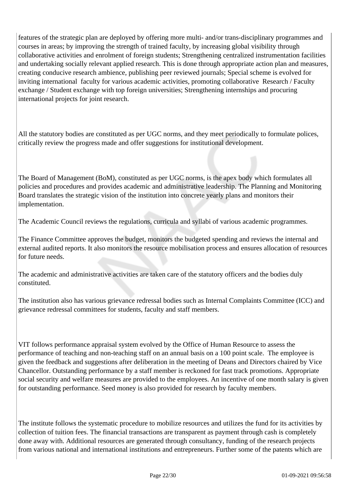features of the strategic plan are deployed by offering more multi- and/or trans-disciplinary programmes and courses in areas; by improving the strength of trained faculty, by increasing global visibility through collaborative activities and enrolment of foreign students; Strengthening centralized instrumentation facilities and undertaking socially relevant applied research. This is done through appropriate action plan and measures, creating conducive research ambience, publishing peer reviewed journals; Special scheme is evolved for inviting international faculty for various academic activities, promoting collaborative Research / Faculty exchange / Student exchange with top foreign universities; Strengthening internships and procuring international projects for joint research.

All the statutory bodies are constituted as per UGC norms, and they meet periodically to formulate polices, critically review the progress made and offer suggestions for institutional development.

The Board of Management (BoM), constituted as per UGC norms, is the apex body which formulates all policies and procedures and provides academic and administrative leadership. The Planning and Monitoring Board translates the strategic vision of the institution into concrete yearly plans and monitors their implementation.

The Academic Council reviews the regulations, curricula and syllabi of various academic programmes.

The Finance Committee approves the budget, monitors the budgeted spending and reviews the internal and external audited reports. It also monitors the resource mobilisation process and ensures allocation of resources for future needs.

The academic and administrative activities are taken care of the statutory officers and the bodies duly constituted.

The institution also has various grievance redressal bodies such as Internal Complaints Committee (ICC) and grievance redressal committees for students, faculty and staff members.

VIT follows performance appraisal system evolved by the Office of Human Resource to assess the performance of teaching and non-teaching staff on an annual basis on a 100 point scale. The employee is given the feedback and suggestions after deliberation in the meeting of Deans and Directors chaired by Vice Chancellor. Outstanding performance by a staff member is reckoned for fast track promotions. Appropriate social security and welfare measures are provided to the employees. An incentive of one month salary is given for outstanding performance. Seed money is also provided for research by faculty members.

The institute follows the systematic procedure to mobilize resources and utilizes the fund for its activities by collection of tuition fees. The financial transactions are transparent as payment through cash is completely done away with. Additional resources are generated through consultancy, funding of the research projects from various national and international institutions and entrepreneurs. Further some of the patents which are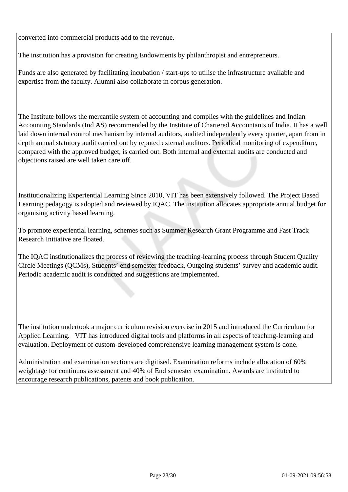converted into commercial products add to the revenue.

The institution has a provision for creating Endowments by philanthropist and entrepreneurs.

Funds are also generated by facilitating incubation / start-ups to utilise the infrastructure available and expertise from the faculty. Alumni also collaborate in corpus generation.

The Institute follows the mercantile system of accounting and complies with the guidelines and Indian Accounting Standards (Ind AS) recommended by the Institute of Chartered Accountants of India. It has a well laid down internal control mechanism by internal auditors, audited independently every quarter, apart from in depth annual statutory audit carried out by reputed external auditors. Periodical monitoring of expenditure, compared with the approved budget, is carried out. Both internal and external audits are conducted and objections raised are well taken care off.

Institutionalizing Experiential Learning Since 2010, VIT has been extensively followed. The Project Based Learning pedagogy is adopted and reviewed by IQAC. The institution allocates appropriate annual budget for organising activity based learning.

To promote experiential learning, schemes such as Summer Research Grant Programme and Fast Track Research Initiative are floated.

The IQAC institutionalizes the process of reviewing the teaching-learning process through Student Quality Circle Meetings (QCMs), Students' end semester feedback, Outgoing students' survey and academic audit. Periodic academic audit is conducted and suggestions are implemented.

The institution undertook a major curriculum revision exercise in 2015 and introduced the Curriculum for Applied Learning. VIT has introduced digital tools and platforms in all aspects of teaching-learning and evaluation. Deployment of custom-developed comprehensive learning management system is done.

Administration and examination sections are digitised. Examination reforms include allocation of 60% weightage for continuos assessment and 40% of End semester examination. Awards are instituted to encourage research publications, patents and book publication.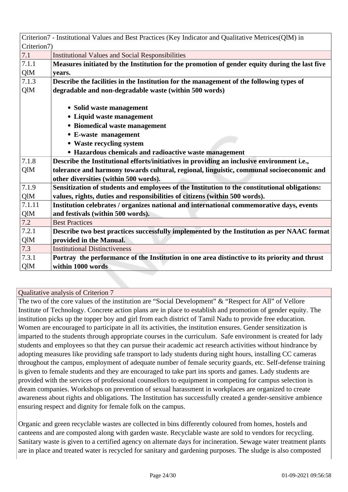|             | Criterion7 - Institutional Values and Best Practices (Key Indicator and Qualitative Metrices(QlM) in |  |
|-------------|------------------------------------------------------------------------------------------------------|--|
| Criterion7) |                                                                                                      |  |
| 7.1         | <b>Institutional Values and Social Responsibilities</b>                                              |  |
| 7.1.1       | Measures initiated by the Institution for the promotion of gender equity during the last five        |  |
| QlM         | years.                                                                                               |  |
| 7.1.3       | Describe the facilities in the Institution for the management of the following types of              |  |
| QlM         | degradable and non-degradable waste (within 500 words)                                               |  |
|             |                                                                                                      |  |
|             | • Solid waste management                                                                             |  |
|             | • Liquid waste management                                                                            |  |
|             | • Biomedical waste management                                                                        |  |
|             | • E-waste management                                                                                 |  |
|             | • Waste recycling system                                                                             |  |
|             | • Hazardous chemicals and radioactive waste management                                               |  |
| 7.1.8       | Describe the Institutional efforts/initiatives in providing an inclusive environment i.e.,           |  |
| QlM         | tolerance and harmony towards cultural, regional, linguistic, communal socioeconomic and             |  |
|             | other diversities (within 500 words).                                                                |  |
| 7.1.9       | Sensitization of students and employees of the Institution to the constitutional obligations:        |  |
| QlM         | values, rights, duties and responsibilities of citizens (within 500 words).                          |  |
| 7.1.11      | Institution celebrates / organizes national and international commemorative days, events             |  |
| QlM         | and festivals (within 500 words).                                                                    |  |
| 7.2         | <b>Best Practices</b>                                                                                |  |
| 7.2.1       | Describe two best practices successfully implemented by the Institution as per NAAC format           |  |
| QlM         | provided in the Manual.                                                                              |  |
| 7.3         | <b>Institutional Distinctiveness</b>                                                                 |  |
| 7.3.1       | Portray the performance of the Institution in one area distinctive to its priority and thrust        |  |
| QlM         | within 1000 words                                                                                    |  |

The two of the core values of the institution are "Social Development" & "Respect for All" of Vellore Institute of Technology. Concrete action plans are in place to establish and promotion of gender equity. The institution picks up the topper boy and girl from each district of Tamil Nadu to provide free education. Women are encouraged to participate in all its activities, the institution ensures. Gender sensitization is imparted to the students through appropriate courses in the curriculum. Safe environment is created for lady students and employees so that they can pursue their academic act research activities without hindrance by adopting measures like providing safe transport to lady students during night hours, installing CC cameras throughout the campus, employment of adequate number of female security guards, etc. Self-defense training is given to female students and they are encouraged to take part ins sports and games. Lady students are provided with the services of professional counsellors to equipment in competing for campus selection is dream companies. Workshops on prevention of sexual harassment in workplaces are organized to create awareness about rights and obligations. The Institution has successfully created a gender-sensitive ambience ensuring respect and dignity for female folk on the campus.

Organic and green recyclable wastes are collected in bins differently coloured from homes, hostels and canteens and are composted along with garden waste. Recyclable waste are sold to vendors for recycling. Sanitary waste is given to a certified agency on alternate days for incineration. Sewage water treatment plants are in place and treated water is recycled for sanitary and gardening purposes. The sludge is also composted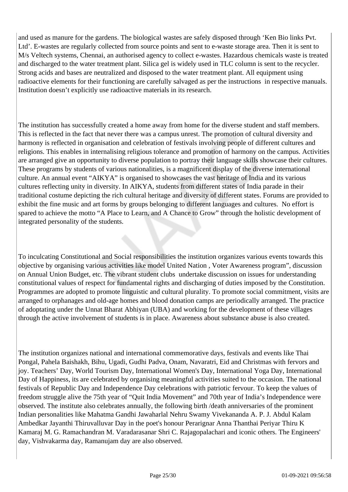and used as manure for the gardens. The biological wastes are safely disposed through 'Ken Bio links Pvt. Ltd'. E-wastes are regularly collected from source points and sent to e-waste storage area. Then it is sent to M/s Veltech systems, Chennai, an authorised agency to collect e-wastes. Hazardous chemicals waste is treated and discharged to the water treatment plant. Silica gel is widely used in TLC column is sent to the recycler. Strong acids and bases are neutralized and disposed to the water treatment plant. All equipment using radioactive elements for their functioning are carefully salvaged as per the instructions in respective manuals. Institution doesn't explicitly use radioactive materials in its research.

The institution has successfully created a home away from home for the diverse student and staff members. This is reflected in the fact that never there was a campus unrest. The promotion of cultural diversity and harmony is reflected in organisation and celebration of festivals involving people of different cultures and religions. This enables in internalising religious tolerance and promotion of harmony on the campus. Activities are arranged give an opportunity to diverse population to portray their language skills showcase their cultures. These programs by students of various nationalities, is a magnificent display of the diverse international culture. An annual event "AIKYA" is organised to showcases the vast heritage of India and its various cultures reflecting unity in diversity. In AIKYA, students from different states of India parade in their traditional costume depicting the rich cultural heritage and diversity of different states. Forums are provided to exhibit the fine music and art forms by groups belonging to different languages and cultures. No effort is spared to achieve the motto "A Place to Learn, and A Chance to Grow" through the holistic development of integrated personality of the students.

To inculcating Constitutional and Social responsibilities the institution organizes various events towards this objective by organising various activities like model United Nation , Voter Awareness program", discussion on Annual Union Budget, etc. The vibrant student clubs undertake discussion on issues for understanding constitutional values of respect for fundamental rights and discharging of duties imposed by the Constitution. Programmes are adopted to promote linguistic and cultural plurality. To promote social commitment, visits are arranged to orphanages and old-age homes and blood donation camps are periodically arranged. The practice of adoptating under the Unnat Bharat Abhiyan (UBA) and working for the development of these villages through the active involvement of students is in place. Awareness about substance abuse is also created.

The institution organizes national and international commemorative days, festivals and events like Thai Pongal, Pahela Baishakh, Bihu, Ugadi, Gudhi Padva, Onam, Navaratri, Eid and Christmas with fervors and joy. Teachers' Day, World Tourism Day, International Women's Day, International Yoga Day, International Day of Happiness, its are celebrated by organising meaningful activities suited to the occasion. The national festivals of Republic Day and Independence Day celebrations with patriotic fervour. To keep the values of freedom struggle alive the 75th year of "Quit India Movement" and 70th year of India's Independence were observed. The institute also celebrates annually, the following birth /death anniversaries of the prominent Indian personalities like Mahatma Gandhi Jawaharlal Nehru Swamy Vivekananda A. P. J. Abdul Kalam Ambedkar Jayanthi Thiruvalluvar Day in the poet's honour Perarignar Anna Thanthai Periyar Thiru K Kamaraj M. G. Ramachandran M. Varadarasanar Shri C. Rajagopalachari and iconic others. The Engineers' day, Vishvakarma day, Ramanujam day are also observed.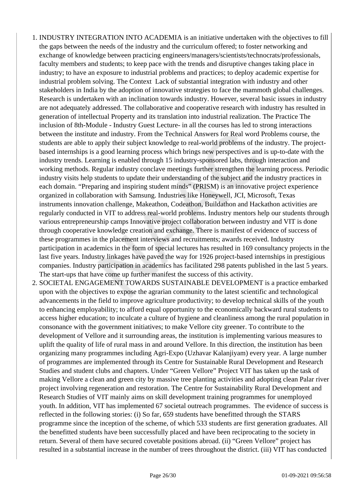- 1. INDUSTRY INTEGRATION INTO ACADEMIA is an initiative undertaken with the objectives to fill the gaps between the needs of the industry and the curriculum offered; to foster networking and exchange of knowledge between practicing engineers/managers/scientists/technocrats/professionals, faculty members and students; to keep pace with the trends and disruptive changes taking place in industry; to have an exposure to industrial problems and practices; to deploy academic expertise for industrial problem solving. The Context Lack of substantial integration with industry and other stakeholders in India by the adoption of innovative strategies to face the mammoth global challenges. Research is undertaken with an inclination towards industry. However, several basic issues in industry are not adequately addressed. The collaborative and cooperative research with industry has resulted in generation of intellectual Property and its translation into industrial realization. The Practice The inclusion of 8th-Module - Industry Guest Lecture- in all the courses has led to strong interactions between the institute and industry. From the Technical Answers for Real word Problems course, the students are able to apply their subject knowledge to real-world problems of the industry. The projectbased internships is a good learning process which brings new perspectives and is up-to-date with the industry trends. Learning is enabled through 15 industry-sponsored labs, through interaction and working methods. Regular industry conclave meetings further strengthen the learning process. Periodic industry visits help students to update their understanding of the subject and the industry practices in each domain. "Preparing and inspiring student minds" (PRISM) is an innovative project experience organized in collaboration with Samsung. Industries like Honeywell, JCI, Microsoft, Texas instruments innovation challenge, Makeathon, Codeathon, Buildathon and Hackathon activities are regularly conducted in VIT to address real-world problems. Industry mentors help our students through various entrepreneurship camps Innovative project collaboration between industry and VIT is done through cooperative knowledge creation and exchange. There is manifest of evidence of success of these programmes in the placement interviews and recruitments; awards received. Industry participation in academics in the form of special lectures has resulted in 169 consultancy projects in the last five years. Industry linkages have paved the way for 1926 project-based internships in prestigious companies. Industry participation in academics has facilitated 298 patents published in the last 5 years. The start-ups that have come up further manifest the success of this activity.
- 2. SOCIETAL ENGAGEMENT TOWARDS SUSTAINABLE DEVELOPMENT is a practice embarked upon with the objectives to expose the agrarian community to the latest scientific and technological advancements in the field to improve agriculture productivity; to develop technical skills of the youth to enhancing employability; to afford equal opportunity to the economically backward rural students to access higher education; to inculcate a culture of hygiene and cleanliness among the rural population in consonance with the government initiatives; to make Vellore city greener. To contribute to the development of Vellore and it surrounding areas, the institution is implementing various measures to uplift the quality of life of rural mass in and around Vellore. In this direction, the institution has been organizing many programmes including Agri-Expo (Uzhavar Kalanjiyam) every year. A large number of programmes are implemented through its Centre for Sustainable Rural Development and Research Studies and student clubs and chapters. Under "Green Vellore" Project VIT has taken up the task of making Vellore a clean and green city by massive tree planting activities and adopting clean Palar river project involving regeneration and restoration. The Centre for Sustainability Rural Development and Research Studies of VIT mainly aims on skill development training programmes for unemployed youth. In addition, VIT has implemented 67 societal outreach programmes. The evidence of success is reflected in the following stories: (i) So far, 659 students have benefitted through the STARS programme since the inception of the scheme, of which 533 students are first generation graduates. All the benefitted students have been successfully placed and have been reciprocating to the society in return. Several of them have secured covetable positions abroad. (ii) "Green Vellore" project has resulted in a substantial increase in the number of trees throughout the district. (iii) VIT has conducted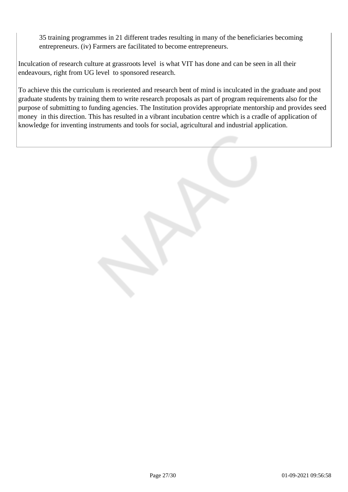35 training programmes in 21 different trades resulting in many of the beneficiaries becoming entrepreneurs. (iv) Farmers are facilitated to become entrepreneurs.

Inculcation of research culture at grassroots level is what VIT has done and can be seen in all their endeavours, right from UG level to sponsored research.

To achieve this the curriculum is reoriented and research bent of mind is inculcated in the graduate and post graduate students by training them to write research proposals as part of program requirements also for the purpose of submitting to funding agencies. The Institution provides appropriate mentorship and provides seed money in this direction. This has resulted in a vibrant incubation centre which is a cradle of application of knowledge for inventing instruments and tools for social, agricultural and industrial application.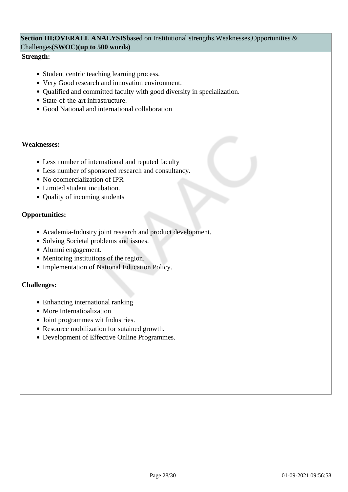#### Section III:OVERALL ANALYSISbased on Institutional strengths.Weaknesses,Opportunities & Challenges(**SWOC)(up to 500 words)**

#### **Strength:**

- Student centric teaching learning process.
- Very Good research and innovation environment.
- Qualified and committed faculty with good diversity in specialization.
- State-of-the-art infrastructure.
- Good National and international collaboration

#### **Weaknesses:**

- Less number of international and reputed faculty
- Less number of sponsored research and consultancy.
- No coomercialization of IPR
- Limited student incubation.
- Quality of incoming students

#### **Opportunities:**

- Academia-Industry joint research and product development.
- Solving Societal problems and issues.
- Alumni engagement.
- Mentoring institutions of the region.
- Implementation of National Education Policy.

#### **Challenges:**

- Enhancing international ranking
- More Internatioalization
- Joint programmes wit Industries.
- Resource mobilization for sutained growth.
- Development of Effective Online Programmes.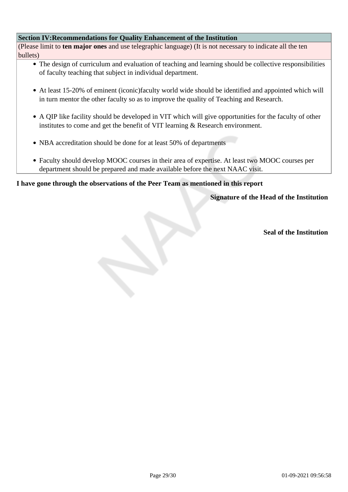#### **Section IV:Recommendations for Quality Enhancement of the Institution**

(Please limit to **ten major ones** and use telegraphic language) (It is not necessary to indicate all the ten bullets)

- The design of curriculum and evaluation of teaching and learning should be collective responsibilities of faculty teaching that subject in individual department.
- At least 15-20% of eminent (iconic)faculty world wide should be identified and appointed which will in turn mentor the other faculty so as to improve the quality of Teaching and Research.
- A QIP like facility should be developed in VIT which will give opportunities for the faculty of other institutes to come and get the benefit of VIT learning & Research environment.
- NBA accreditation should be done for at least 50% of departments
- Faculty should develop MOOC courses in their area of expertise. At least two MOOC courses per department should be prepared and made available before the next NAAC visit.

#### **I have gone through the observations of the Peer Team as mentioned in this report**

**Signature of the Head of the Institution**

**Seal of the Institution**